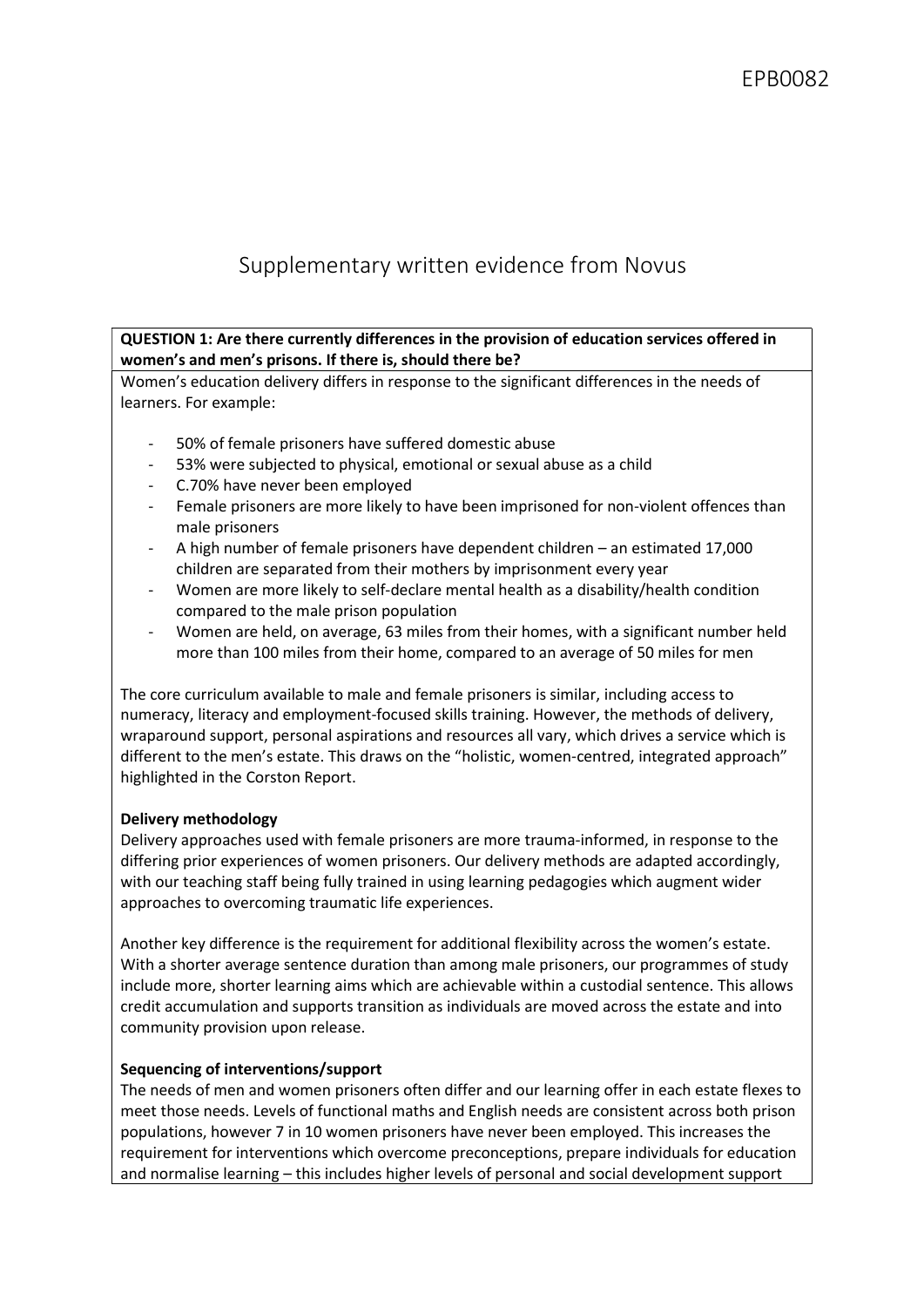# Supplementary written evidence from Novus

# QUESTION 1: Are there currently differences in the provision of education services offered in women's and men's prisons. If there is, should there be?

Women's education delivery differs in response to the significant differences in the needs of learners. For example:

- 50% of female prisoners have suffered domestic abuse
- 53% were subjected to physical, emotional or sexual abuse as a child
- C.70% have never been employed
- Female prisoners are more likely to have been imprisoned for non-violent offences than male prisoners
- A high number of female prisoners have dependent children an estimated 17,000 children are separated from their mothers by imprisonment every year
- Women are more likely to self-declare mental health as a disability/health condition compared to the male prison population
- Women are held, on average, 63 miles from their homes, with a significant number held more than 100 miles from their home, compared to an average of 50 miles for men

The core curriculum available to male and female prisoners is similar, including access to numeracy, literacy and employment-focused skills training. However, the methods of delivery, wraparound support, personal aspirations and resources all vary, which drives a service which is different to the men's estate. This draws on the "holistic, women-centred, integrated approach" highlighted in the Corston Report.

## Delivery methodology

Delivery approaches used with female prisoners are more trauma-informed, in response to the differing prior experiences of women prisoners. Our delivery methods are adapted accordingly, with our teaching staff being fully trained in using learning pedagogies which augment wider approaches to overcoming traumatic life experiences.

Another key difference is the requirement for additional flexibility across the women's estate. With a shorter average sentence duration than among male prisoners, our programmes of study include more, shorter learning aims which are achievable within a custodial sentence. This allows credit accumulation and supports transition as individuals are moved across the estate and into community provision upon release.

#### Sequencing of interventions/support

The needs of men and women prisoners often differ and our learning offer in each estate flexes to meet those needs. Levels of functional maths and English needs are consistent across both prison populations, however 7 in 10 women prisoners have never been employed. This increases the requirement for interventions which overcome preconceptions, prepare individuals for education and normalise learning – this includes higher levels of personal and social development support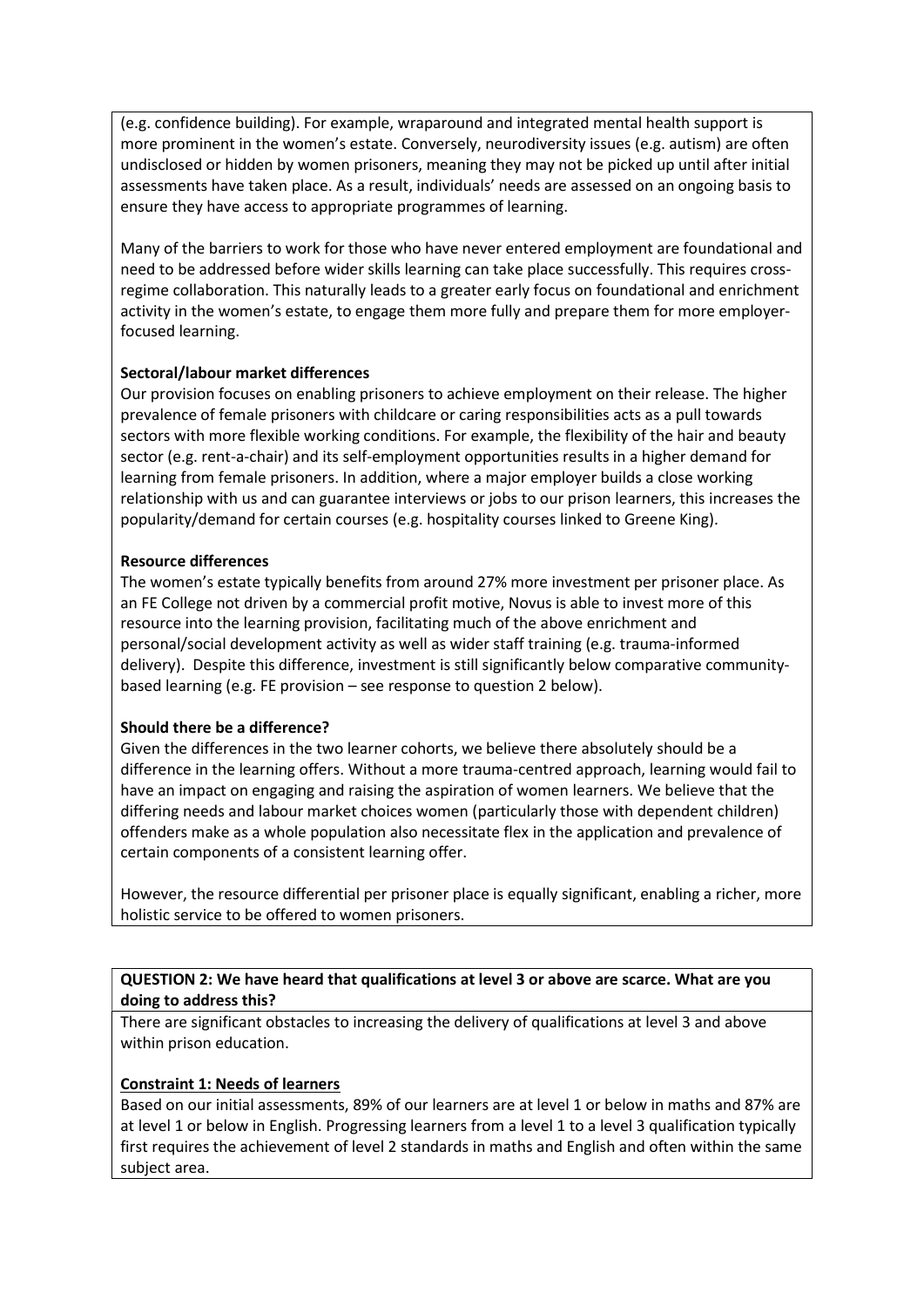(e.g. confidence building). For example, wraparound and integrated mental health support is more prominent in the women's estate. Conversely, neurodiversity issues (e.g. autism) are often undisclosed or hidden by women prisoners, meaning they may not be picked up until after initial assessments have taken place. As a result, individuals' needs are assessed on an ongoing basis to ensure they have access to appropriate programmes of learning.

Many of the barriers to work for those who have never entered employment are foundational and need to be addressed before wider skills learning can take place successfully. This requires crossregime collaboration. This naturally leads to a greater early focus on foundational and enrichment activity in the women's estate, to engage them more fully and prepare them for more employerfocused learning.

## Sectoral/labour market differences

Our provision focuses on enabling prisoners to achieve employment on their release. The higher prevalence of female prisoners with childcare or caring responsibilities acts as a pull towards sectors with more flexible working conditions. For example, the flexibility of the hair and beauty sector (e.g. rent-a-chair) and its self-employment opportunities results in a higher demand for learning from female prisoners. In addition, where a major employer builds a close working relationship with us and can guarantee interviews or jobs to our prison learners, this increases the popularity/demand for certain courses (e.g. hospitality courses linked to Greene King).

## Resource differences

The women's estate typically benefits from around 27% more investment per prisoner place. As an FE College not driven by a commercial profit motive, Novus is able to invest more of this resource into the learning provision, facilitating much of the above enrichment and personal/social development activity as well as wider staff training (e.g. trauma-informed delivery). Despite this difference, investment is still significantly below comparative communitybased learning (e.g. FE provision – see response to question 2 below).

#### Should there be a difference?

Given the differences in the two learner cohorts, we believe there absolutely should be a difference in the learning offers. Without a more trauma-centred approach, learning would fail to have an impact on engaging and raising the aspiration of women learners. We believe that the differing needs and labour market choices women (particularly those with dependent children) offenders make as a whole population also necessitate flex in the application and prevalence of certain components of a consistent learning offer.

However, the resource differential per prisoner place is equally significant, enabling a richer, more holistic service to be offered to women prisoners.

QUESTION 2: We have heard that qualifications at level 3 or above are scarce. What are you doing to address this?

There are significant obstacles to increasing the delivery of qualifications at level 3 and above within prison education.

#### Constraint 1: Needs of learners

Based on our initial assessments, 89% of our learners are at level 1 or below in maths and 87% are at level 1 or below in English. Progressing learners from a level 1 to a level 3 qualification typically first requires the achievement of level 2 standards in maths and English and often within the same subject area.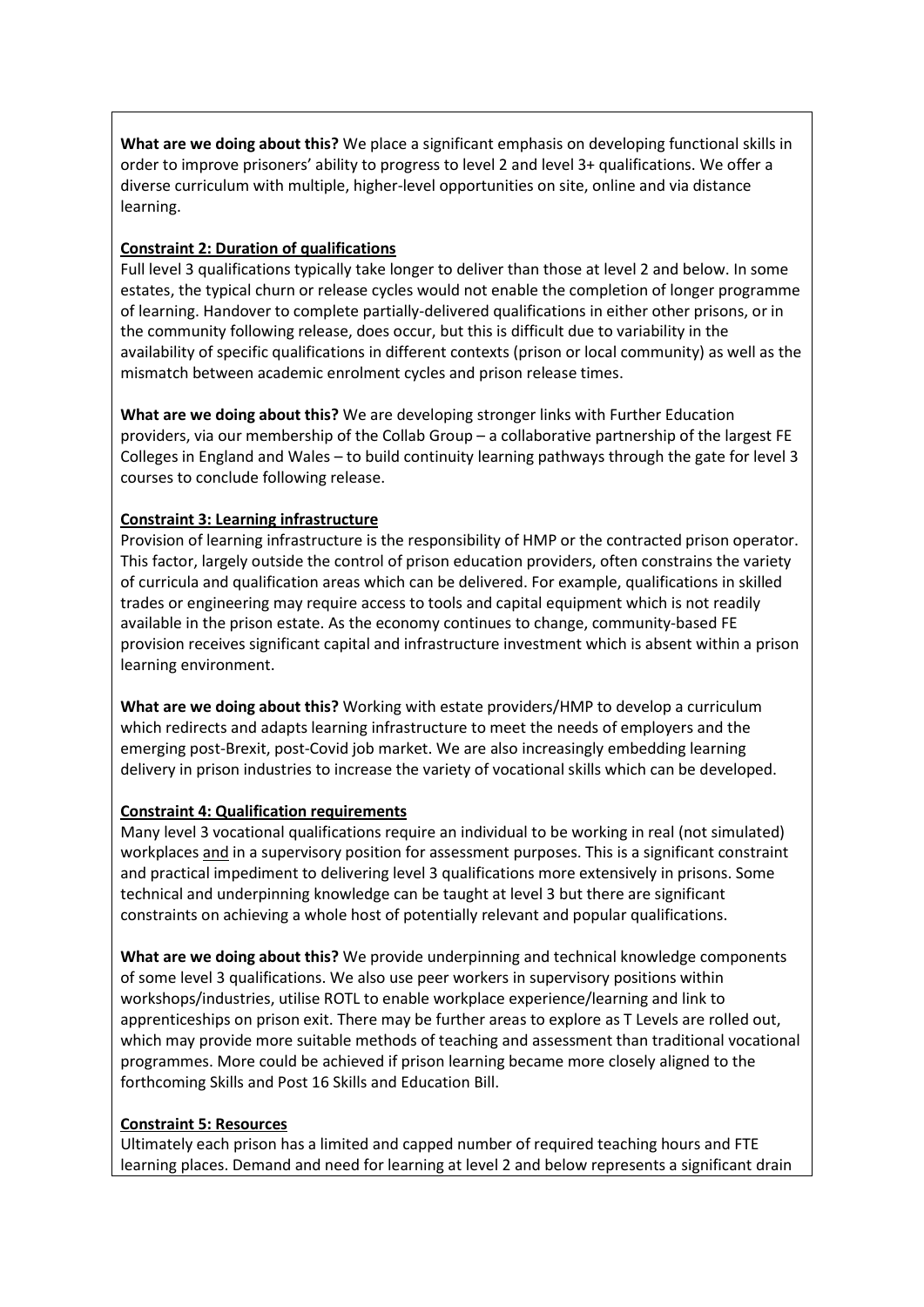What are we doing about this? We place a significant emphasis on developing functional skills in order to improve prisoners' ability to progress to level 2 and level 3+ qualifications. We offer a diverse curriculum with multiple, higher-level opportunities on site, online and via distance learning.

## Constraint 2: Duration of qualifications

Full level 3 qualifications typically take longer to deliver than those at level 2 and below. In some estates, the typical churn or release cycles would not enable the completion of longer programme of learning. Handover to complete partially-delivered qualifications in either other prisons, or in the community following release, does occur, but this is difficult due to variability in the availability of specific qualifications in different contexts (prison or local community) as well as the mismatch between academic enrolment cycles and prison release times.

What are we doing about this? We are developing stronger links with Further Education providers, via our membership of the Collab Group – a collaborative partnership of the largest FE Colleges in England and Wales – to build continuity learning pathways through the gate for level 3 courses to conclude following release.

# Constraint 3: Learning infrastructure

Provision of learning infrastructure is the responsibility of HMP or the contracted prison operator. This factor, largely outside the control of prison education providers, often constrains the variety of curricula and qualification areas which can be delivered. For example, qualifications in skilled trades or engineering may require access to tools and capital equipment which is not readily available in the prison estate. As the economy continues to change, community-based FE provision receives significant capital and infrastructure investment which is absent within a prison learning environment.

What are we doing about this? Working with estate providers/HMP to develop a curriculum which redirects and adapts learning infrastructure to meet the needs of employers and the emerging post-Brexit, post-Covid job market. We are also increasingly embedding learning delivery in prison industries to increase the variety of vocational skills which can be developed.

## Constraint 4: Qualification requirements

Many level 3 vocational qualifications require an individual to be working in real (not simulated) workplaces and in a supervisory position for assessment purposes. This is a significant constraint and practical impediment to delivering level 3 qualifications more extensively in prisons. Some technical and underpinning knowledge can be taught at level 3 but there are significant constraints on achieving a whole host of potentially relevant and popular qualifications.

What are we doing about this? We provide underpinning and technical knowledge components of some level 3 qualifications. We also use peer workers in supervisory positions within workshops/industries, utilise ROTL to enable workplace experience/learning and link to apprenticeships on prison exit. There may be further areas to explore as T Levels are rolled out, which may provide more suitable methods of teaching and assessment than traditional vocational programmes. More could be achieved if prison learning became more closely aligned to the forthcoming Skills and Post 16 Skills and Education Bill.

## Constraint 5: Resources

Ultimately each prison has a limited and capped number of required teaching hours and FTE learning places. Demand and need for learning at level 2 and below represents a significant drain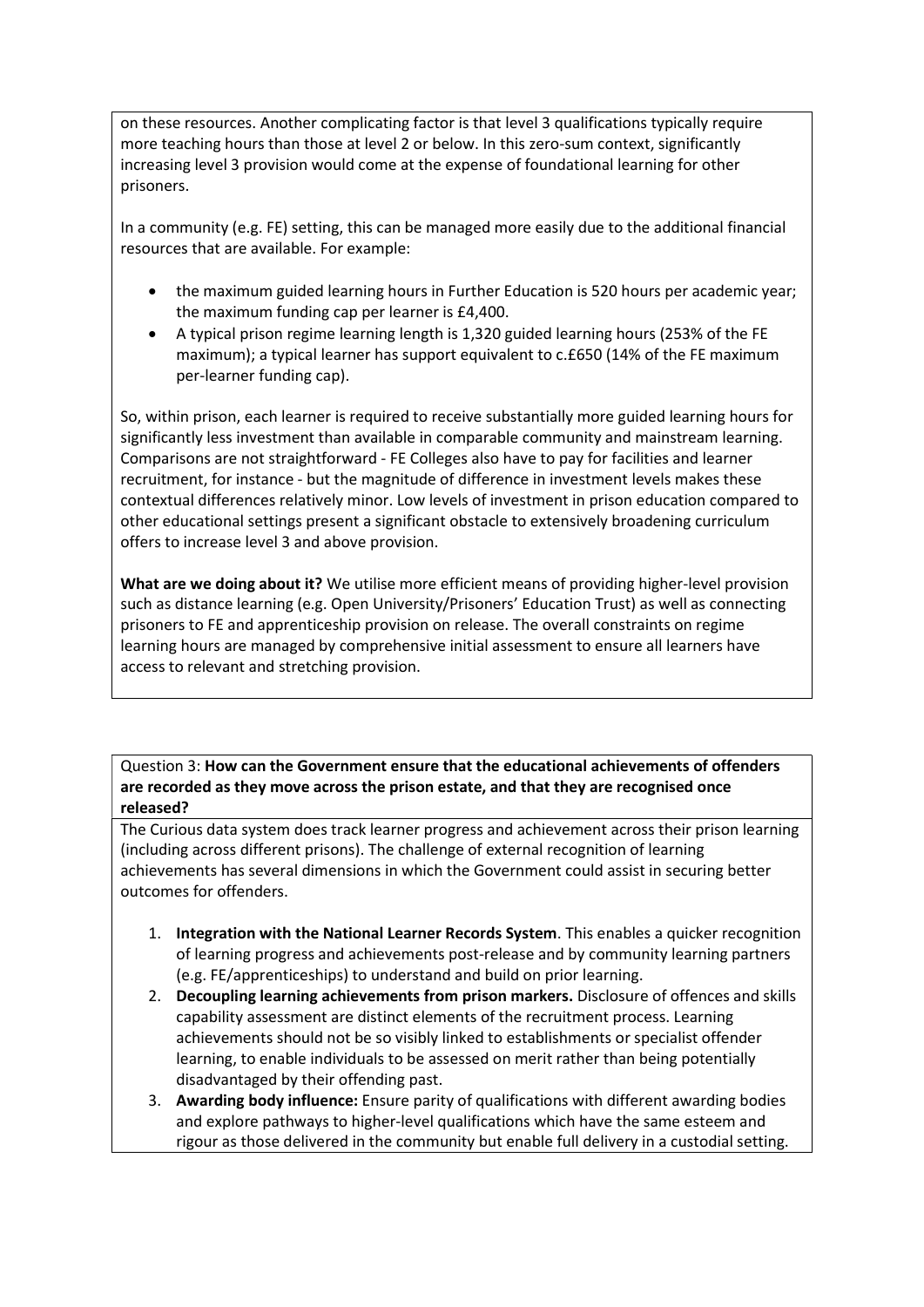on these resources. Another complicating factor is that level 3 qualifications typically require more teaching hours than those at level 2 or below. In this zero-sum context, significantly increasing level 3 provision would come at the expense of foundational learning for other prisoners.

In a community (e.g. FE) setting, this can be managed more easily due to the additional financial resources that are available. For example:

- the maximum guided learning hours in Further Education is 520 hours per academic year; the maximum funding cap per learner is £4,400.
- A typical prison regime learning length is 1,320 guided learning hours (253% of the FE maximum); a typical learner has support equivalent to c.£650 (14% of the FE maximum per-learner funding cap).

So, within prison, each learner is required to receive substantially more guided learning hours for significantly less investment than available in comparable community and mainstream learning. Comparisons are not straightforward - FE Colleges also have to pay for facilities and learner recruitment, for instance - but the magnitude of difference in investment levels makes these contextual differences relatively minor. Low levels of investment in prison education compared to other educational settings present a significant obstacle to extensively broadening curriculum offers to increase level 3 and above provision.

What are we doing about it? We utilise more efficient means of providing higher-level provision such as distance learning (e.g. Open University/Prisoners' Education Trust) as well as connecting prisoners to FE and apprenticeship provision on release. The overall constraints on regime learning hours are managed by comprehensive initial assessment to ensure all learners have access to relevant and stretching provision.

Question 3: How can the Government ensure that the educational achievements of offenders are recorded as they move across the prison estate, and that they are recognised once released?

The Curious data system does track learner progress and achievement across their prison learning (including across different prisons). The challenge of external recognition of learning achievements has several dimensions in which the Government could assist in securing better outcomes for offenders.

- 1. Integration with the National Learner Records System. This enables a quicker recognition of learning progress and achievements post-release and by community learning partners (e.g. FE/apprenticeships) to understand and build on prior learning.
- 2. Decoupling learning achievements from prison markers. Disclosure of offences and skills capability assessment are distinct elements of the recruitment process. Learning achievements should not be so visibly linked to establishments or specialist offender learning, to enable individuals to be assessed on merit rather than being potentially disadvantaged by their offending past.
- 3. Awarding body influence: Ensure parity of qualifications with different awarding bodies and explore pathways to higher-level qualifications which have the same esteem and rigour as those delivered in the community but enable full delivery in a custodial setting.